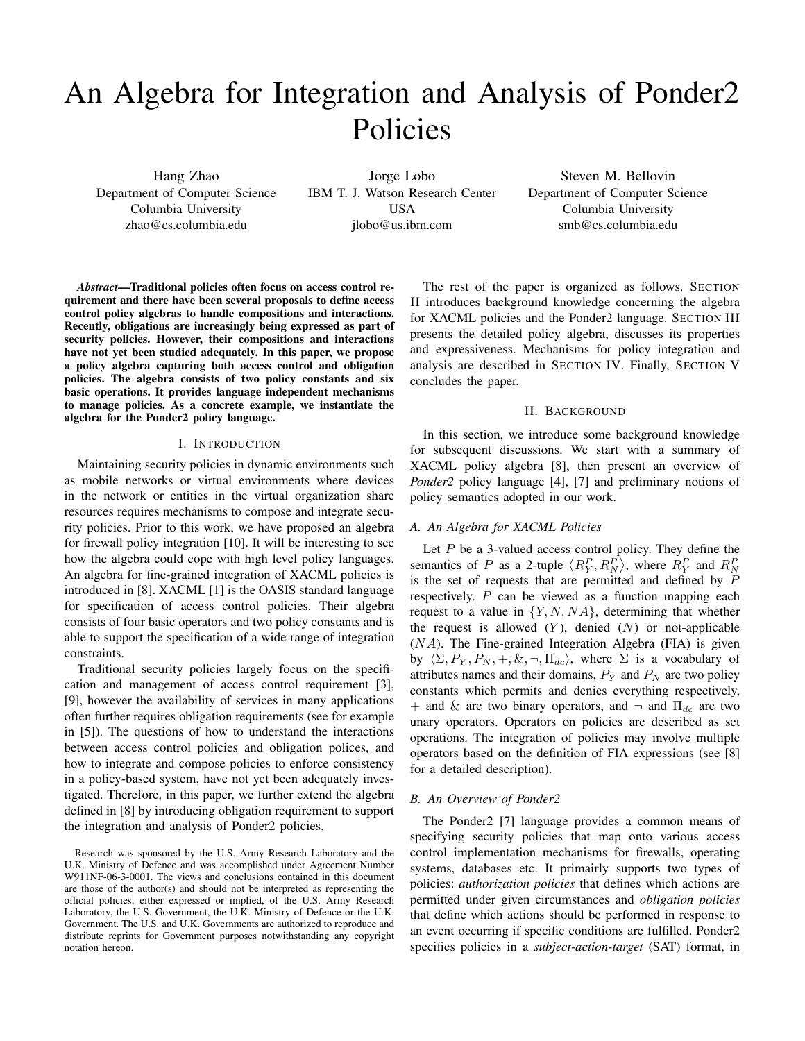# An Algebra for Integration and Analysis of Ponder2 Policies

Hang Zhao Department of Computer Science Columbia University zhao@cs.columbia.edu

Jorge Lobo IBM T. J. Watson Research Center USA jlobo@us.ibm.com

Steven M. Bellovin Department of Computer Science Columbia University smb@cs.columbia.edu

*Abstract*—Traditional policies often focus on access control requirement and there have been several proposals to define access control policy algebras to handle compositions and interactions. Recently, obligations are increasingly being expressed as part of security policies. However, their compositions and interactions have not yet been studied adequately. In this paper, we propose a policy algebra capturing both access control and obligation policies. The algebra consists of two policy constants and six basic operations. It provides language independent mechanisms to manage policies. As a concrete example, we instantiate the algebra for the Ponder2 policy language.

#### I. INTRODUCTION

Maintaining security policies in dynamic environments such as mobile networks or virtual environments where devices in the network or entities in the virtual organization share resources requires mechanisms to compose and integrate security policies. Prior to this work, we have proposed an algebra for firewall policy integration [10]. It will be interesting to see how the algebra could cope with high level policy languages. An algebra for fine-grained integration of XACML policies is introduced in [8]. XACML [1] is the OASIS standard language for specification of access control policies. Their algebra consists of four basic operators and two policy constants and is able to support the specification of a wide range of integration constraints.

Traditional security policies largely focus on the specification and management of access control requirement [3], [9], however the availability of services in many applications often further requires obligation requirements (see for example in [5]). The questions of how to understand the interactions between access control policies and obligation polices, and how to integrate and compose policies to enforce consistency in a policy-based system, have not yet been adequately investigated. Therefore, in this paper, we further extend the algebra defined in [8] by introducing obligation requirement to support the integration and analysis of Ponder2 policies.

Research was sponsored by the U.S. Army Research Laboratory and the U.K. Ministry of Defence and was accomplished under Agreement Number W911NF-06-3-0001. The views and conclusions contained in this document are those of the author(s) and should not be interpreted as representing the official policies, either expressed or implied, of the U.S. Army Research Laboratory, the U.S. Government, the U.K. Ministry of Defence or the U.K. Government. The U.S. and U.K. Governments are authorized to reproduce and distribute reprints for Government purposes notwithstanding any copyright notation hereon.

The rest of the paper is organized as follows. SECTION II introduces background knowledge concerning the algebra for XACML policies and the Ponder2 language. SECTION III presents the detailed policy algebra, discusses its properties and expressiveness. Mechanisms for policy integration and analysis are described in SECTION IV. Finally, SECTION V concludes the paper.

# II. BACKGROUND

In this section, we introduce some background knowledge for subsequent discussions. We start with a summary of XACML policy algebra [8], then present an overview of *Ponder2* policy language [4], [7] and preliminary notions of policy semantics adopted in our work.

## *A. An Algebra for XACML Policies*

Let  $P$  be a 3-valued access control policy. They define the semantics of P as a 2-tuple  $\langle R_Y^P, R_N^P \rangle$ , where  $R_Y^P$  and  $R_N^P$ is the set of requests that are permitted and defined by  $P$ respectively. P can be viewed as a function mapping each request to a value in  $\{Y, N, NA\}$ , determining that whether the request is allowed  $(Y)$ , denied  $(N)$  or not-applicable  $(NA)$ . The Fine-grained Integration Algebra (FIA) is given by  $\langle \Sigma, P_Y, P_N, +, \&, \neg, \Pi_{dc} \rangle$ , where  $\Sigma$  is a vocabulary of attributes names and their domains,  $P_Y$  and  $P_N$  are two policy constants which permits and denies everything respectively, + and & are two binary operators, and  $\neg$  and  $\Pi_{dc}$  are two unary operators. Operators on policies are described as set operations. The integration of policies may involve multiple operators based on the definition of FIA expressions (see [8] for a detailed description).

#### *B. An Overview of Ponder2*

The Ponder2 [7] language provides a common means of specifying security policies that map onto various access control implementation mechanisms for firewalls, operating systems, databases etc. It primairly supports two types of policies: *authorization policies* that defines which actions are permitted under given circumstances and *obligation policies* that define which actions should be performed in response to an event occurring if specific conditions are fulfilled. Ponder2 specifies policies in a *subject-action-target* (SAT) format, in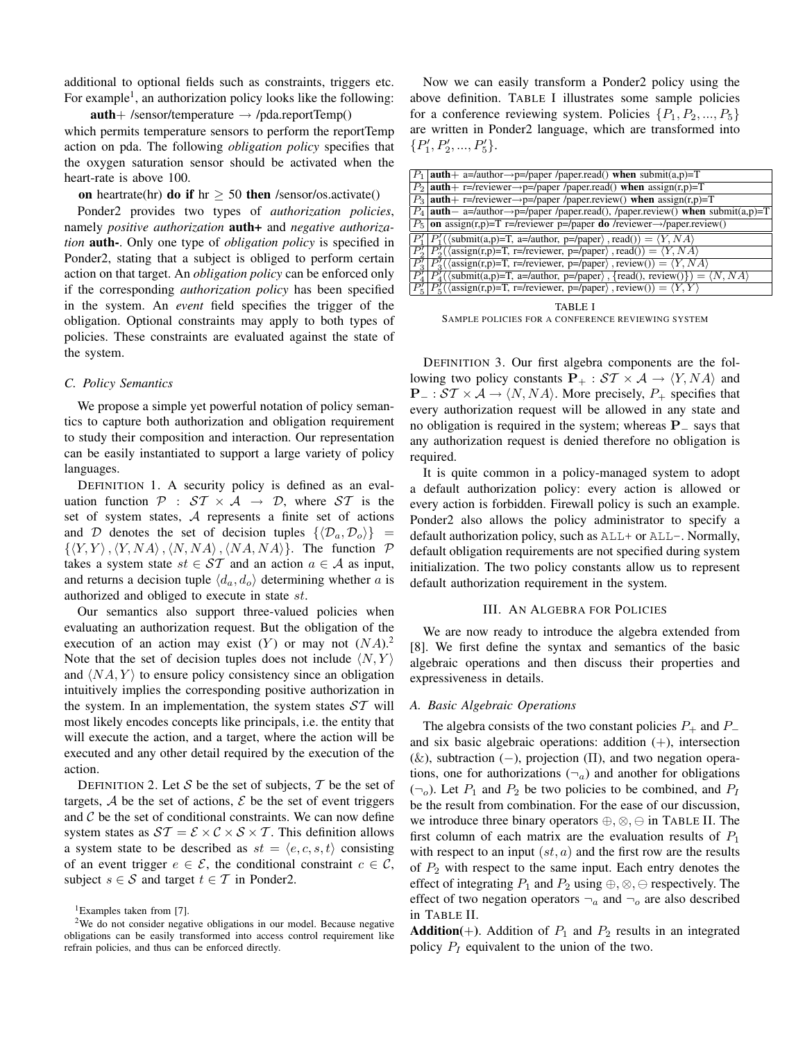additional to optional fields such as constraints, triggers etc. For example<sup>1</sup>, an authorization policy looks like the following:

 $auth+$  /sensor/temperature  $\rightarrow$  /pda.reportTemp() which permits temperature sensors to perform the reportTemp action on pda. The following *obligation policy* specifies that the oxygen saturation sensor should be activated when the heart-rate is above 100.

on heartrate(hr) do if hr  $\geq$  50 then /sensor/os.activate()

Ponder2 provides two types of *authorization policies*, namely *positive authorization* **auth+** and *negative authorization* auth-. Only one type of *obligation policy* is specified in Ponder2, stating that a subject is obliged to perform certain action on that target. An *obligation policy* can be enforced only if the corresponding *authorization policy* has been specified in the system. An *event* field specifies the trigger of the obligation. Optional constraints may apply to both types of policies. These constraints are evaluated against the state of the system.

## *C. Policy Semantics*

We propose a simple yet powerful notation of policy semantics to capture both authorization and obligation requirement to study their composition and interaction. Our representation can be easily instantiated to support a large variety of policy languages.

DEFINITION 1. A security policy is defined as an evaluation function  $P : ST \times A \rightarrow D$ , where ST is the set of system states, A represents a finite set of actions and D denotes the set of decision tuples  $\{\langle \mathcal{D}_a, \mathcal{D}_o \rangle\}$  =  $\{\langle Y, Y \rangle, \langle Y, NA \rangle, \langle N, NA \rangle, \langle NA, NA \rangle\}.$  The function  $\mathcal{P}$ takes a system state  $st \in \mathcal{ST}$  and an action  $a \in \mathcal{A}$  as input, and returns a decision tuple  $\langle d_a, d_o \rangle$  determining whether a is authorized and obliged to execute in state st.

Our semantics also support three-valued policies when evaluating an authorization request. But the obligation of the execution of an action may exist  $(Y)$  or may not  $(NA)$ .<sup>2</sup> Note that the set of decision tuples does not include  $\langle N, Y \rangle$ and  $\langle NA, Y \rangle$  to ensure policy consistency since an obligation intuitively implies the corresponding positive authorization in the system. In an implementation, the system states  $ST$  will most likely encodes concepts like principals, i.e. the entity that will execute the action, and a target, where the action will be executed and any other detail required by the execution of the action.

DEFINITION 2. Let S be the set of subjects, T be the set of targets,  $A$  be the set of actions,  $E$  be the set of event triggers and  $C$  be the set of conditional constraints. We can now define system states as  $ST = \mathcal{E} \times \mathcal{C} \times \mathcal{S} \times \mathcal{T}$ . This definition allows a system state to be described as  $st = \langle e, c, s, t \rangle$  consisting of an event trigger  $e \in \mathcal{E}$ , the conditional constraint  $c \in \mathcal{C}$ , subject  $s \in S$  and target  $t \in T$  in Ponder2.

Now we can easily transform a Ponder2 policy using the above definition. TABLE I illustrates some sample policies for a conference reviewing system. Policies  $\{P_1, P_2, ..., P_5\}$ are written in Ponder2 language, which are transformed into  $\{P_1', P_2', ..., P_5'\}.$ 

| $P_1$ auth + a=/author->p=/paper /paper.read() when submit(a,p)=T                                                                                                                             |
|-----------------------------------------------------------------------------------------------------------------------------------------------------------------------------------------------|
| $P_2$ auth+ r=/reviewer→p=/paper /paper.read() when assign(r,p)=T                                                                                                                             |
| $P_3$ auth+ r=/reviewer→p=/paper /paper.review() when assign(r,p)=T                                                                                                                           |
| $P_4$  auth-a=/author->p=/paper/paper.read(), /paper.review() when submit(a,p)=T                                                                                                              |
| $P_5$ on assign(r,p)=T r=/reviewer p=/paper do /reviewer→/paper.review()                                                                                                                      |
|                                                                                                                                                                                               |
| $[P'_1]P'_1(\langle \text{submit}(a,p)=T, a=\text{/author}, p=\text{/paper}\rangle, \text{read}() = \langle Y, NA \rangle$                                                                    |
| $P_2' P_2'(\langle \text{assign}(r,p)=T, r= r \text{e}}) =  p \text{e}})$ , read()) = $\langle Y, NA \rangle$                                                                                 |
| $P_3'   P_3'(\langle \text{assign}(r,p)=T, r= r \text{eviewer}, p= p \text{aper}\rangle, \text{review}(0) = \langle Y, NA \rangle$                                                            |
| $\overline{P_A'}\left[\overline{P_A'}(\langle \text{submit}(a,p)=T, a=\langle \text{author}, p=\langle \text{paper}\rangle, \{\text{read}(0, \text{review}(0)\})=\langle N, NA\rangle\right]$ |
| $P_{\epsilon}' P_{\epsilon}'(\langle \text{assign}(r,p)=T, r=/\text{reviewer}, p=/\text{paper}\rangle, \text{review}() = \langle Y, Y \rangle$                                                |

TABLE I SAMPLE POLICIES FOR A CONFERENCE REVIEWING SYSTEM

DEFINITION 3. Our first algebra components are the following two policy constants  $P_+ : ST \times A \rightarrow \langle Y, NA \rangle$  and  $P_$  :  $ST \times A \rightarrow \langle N, NA \rangle$ . More precisely,  $P_+$  specifies that every authorization request will be allowed in any state and no obligation is required in the system; whereas  $P_$  says that any authorization request is denied therefore no obligation is required.

It is quite common in a policy-managed system to adopt a default authorization policy: every action is allowed or every action is forbidden. Firewall policy is such an example. Ponder2 also allows the policy administrator to specify a default authorization policy, such as  $ALL+$  or  $ALL-$ . Normally, default obligation requirements are not specified during system initialization. The two policy constants allow us to represent default authorization requirement in the system.

#### III. AN ALGEBRA FOR POLICIES

We are now ready to introduce the algebra extended from [8]. We first define the syntax and semantics of the basic algebraic operations and then discuss their properties and expressiveness in details.

#### *A. Basic Algebraic Operations*

The algebra consists of the two constant policies  $P_+$  and  $P_$ and six basic algebraic operations: addition  $(+)$ , intersection (&), subtraction (−), projection ( $\Pi$ ), and two negation operations, one for authorizations  $(\neg_a)$  and another for obligations  $(\neg o)$ . Let  $P_1$  and  $P_2$  be two policies to be combined, and  $P_1$ be the result from combination. For the ease of our discussion, we introduce three binary operators  $\oplus, \otimes, \ominus$  in TABLE II. The first column of each matrix are the evaluation results of  $P_1$ with respect to an input  $(st, a)$  and the first row are the results of  $P_2$  with respect to the same input. Each entry denotes the effect of integrating  $P_1$  and  $P_2$  using  $\oplus$ ,  $\otimes$ ,  $\ominus$  respectively. The effect of two negation operators  $\neg_a$  and  $\neg_o$  are also described in TABLE II.

Addition(+). Addition of  $P_1$  and  $P_2$  results in an integrated policy  $P_I$  equivalent to the union of the two.

<sup>&</sup>lt;sup>1</sup>Examples taken from [7].

<sup>&</sup>lt;sup>2</sup>We do not consider negative obligations in our model. Because negative obligations can be easily transformed into access control requirement like refrain policies, and thus can be enforced directly.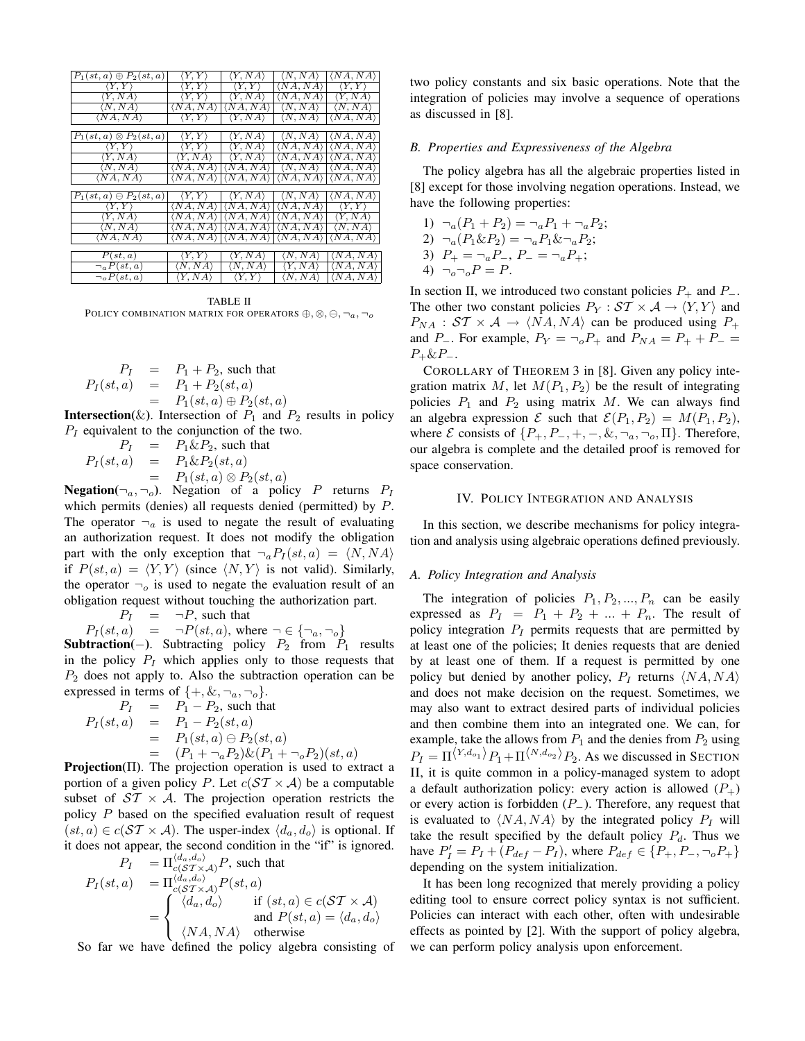| $P_1(st, a) \oplus P_2(st, a)$  | $\langle Y, Y \rangle$ | $\langle Y, NA \rangle$                                                                             |                                                 | $\langle N, NA \rangle$ $ \langle NA, NA \rangle$                                               |  |  |
|---------------------------------|------------------------|-----------------------------------------------------------------------------------------------------|-------------------------------------------------|-------------------------------------------------------------------------------------------------|--|--|
| $\langle Y, Y \rangle$          |                        | $\langle Y, Y \rangle$ $\langle Y, Y \rangle$                                                       | $\langle NA, NA \rangle$ $\langle Y, Y \rangle$ |                                                                                                 |  |  |
| $\langle Y, NA \rangle$         |                        | $\langle Y, Y \rangle$ $\langle Y, NA \rangle$ $\langle N A, NA \rangle$ $\langle Y, NA \rangle$    |                                                 |                                                                                                 |  |  |
| $\langle N, NA \rangle$         |                        | $\langle NA, NA \rangle   \langle NA, NA \rangle   \langle N, NA \rangle   \langle N, NA \rangle$   |                                                 |                                                                                                 |  |  |
| $\langle NA, NA \rangle$        |                        | $\langle Y, Y \rangle$ $\langle Y, NA \rangle$ $\langle N, NA \rangle$ $\langle N A, NA \rangle$    |                                                 |                                                                                                 |  |  |
|                                 |                        |                                                                                                     |                                                 |                                                                                                 |  |  |
| $P_1(st,a)\otimes P_2(st,a)$    |                        | $\langle Y, Y \rangle$ $\langle Y, NA \rangle$ $\langle N, NA \rangle$ $\langle N A, NA \rangle$    |                                                 |                                                                                                 |  |  |
| $\langle Y, Y \rangle$          |                        | $\langle Y, Y \rangle$ $\langle Y, NA \rangle$ $ \langle NA, NA \rangle  \langle NA, NA \rangle$    |                                                 |                                                                                                 |  |  |
| $\langle Y, NA \rangle$         |                        | $\langle Y, NA \rangle$ $\langle Y, NA \rangle$ $\langle N A, NA \rangle$ $\langle N A, NA \rangle$ |                                                 |                                                                                                 |  |  |
| $\langle N, NA \rangle$         |                        | $\langle NA, NA \rangle   \langle NA, NA \rangle   \langle N, NA \rangle   \langle NA, NA \rangle$  |                                                 |                                                                                                 |  |  |
| $\langle NA, NA \rangle$        |                        | $\langle NA, NA \rangle   \langle NA, NA \rangle   \langle NA, NA \rangle   \langle NA, NA \rangle$ |                                                 |                                                                                                 |  |  |
|                                 |                        |                                                                                                     |                                                 |                                                                                                 |  |  |
| $P_1(st, a) \ominus P_2(st, a)$ |                        | $\langle Y, Y \rangle$ $\langle Y, NA \rangle$ $\langle N, NA \rangle$ $\langle NA, NA \rangle$     |                                                 |                                                                                                 |  |  |
| $\langle Y, Y \rangle$          |                        | $\langle NA, NA \rangle   \langle NA, NA \rangle   \langle NA, NA \rangle   \langle Y, Y \rangle$   |                                                 |                                                                                                 |  |  |
| $\langle Y, NA \rangle$         |                        | $\langle NA, NA \rangle   \langle NA, NA \rangle   \langle NA, NA \rangle   \langle Y, NA \rangle$  |                                                 |                                                                                                 |  |  |
| $\langle N, NA \rangle$         |                        | $\langle NA, NA \rangle   \langle NA, NA \rangle   \langle NA, NA \rangle   \langle N, NA \rangle$  |                                                 |                                                                                                 |  |  |
| $\langle NA, NA \rangle$        |                        | $\langle NA, NA \rangle   \langle NA, NA \rangle   \langle NA, NA \rangle   \langle NA, NA \rangle$ |                                                 |                                                                                                 |  |  |
|                                 |                        |                                                                                                     |                                                 |                                                                                                 |  |  |
| P(st, a)                        | $\langle Y, Y \rangle$ | $\langle Y, NA \rangle$                                                                             |                                                 | $\langle N, NA \rangle$ $ \langle NA, NA \rangle$                                               |  |  |
| $\neg_a P(st, a)$               |                        | $\langle N, NA \rangle$ $\langle N, NA \rangle$                                                     |                                                 | $\langle Y, NA \rangle$ $\langle N A, NA \rangle$                                               |  |  |
| $\neg$ <sub>o</sub> $P(st, a)$  |                        |                                                                                                     |                                                 | $\langle Y, NA \rangle$ $\langle Y, Y \rangle$ $\langle N, NA \rangle$ $\langle NA, NA \rangle$ |  |  |

TABLE II POLICY COMBINATION MATRIX FOR OPERATORS  $\oplus, \otimes, \ominus, \neg_a, \neg_o$ 

$$
P_I = P_1 + P_2, \text{ such that}
$$
  

$$
P_I(st, a) = P_1 + P_2(st, a)
$$
  

$$
= P_1(st, a) \oplus P_2(st, a)
$$

**Intersection**( $\&$ ). Intersection of  $P_1$  and  $P_2$  results in policy  $P_I$  equivalent to the conjunction of the two.

$$
P_I = P_1 \& P_2, \text{ such that}
$$
  
\n
$$
P_I(st, a) = P_1 \& P_2(st, a)
$$
  
\n
$$
= P_1(st, a) \otimes P_2(st, a)
$$

**Negation**( $\neg_a$ ,  $\neg_o$ ). Negation of a policy P returns  $P_I$ which permits (denies) all requests denied (permitted) by  $P$ . The operator  $\neg_a$  is used to negate the result of evaluating an authorization request. It does not modify the obligation part with the only exception that  $\neg_a P_I(st, a) = \langle N, NA \rangle$ if  $P(st, a) = \langle Y, Y \rangle$  (since  $\langle N, Y \rangle$  is not valid). Similarly, the operator  $\neg$  is used to negate the evaluation result of an obligation request without touching the authorization part.

 $P_I = \neg P$ , such that

$$
P_I(st, a) = \neg P(st, a), \text{ where } \neg \in \{\neg_a, \neg_o\}
$$

**Subtraction**(−). Subtracting policy  $P_2$  from  $P_1$  results in the policy  $P_I$  which applies only to those requests that  $P_2$  does not apply to. Also the subtraction operation can be expressed in terms of  $\{+, \&, \neg_a, \neg_o\}.$ 

$$
P_I = P_1 - P_2, \text{ such that}
$$
  
\n
$$
P_I(st, a) = P_1 - P_2(st, a)
$$
  
\n
$$
= P_1(st, a) \ominus P_2(st, a)
$$
  
\n
$$
\therefore \quad P = (P_1 + \neg_a P_2) \& (P_1 + \neg_b P_2)(st, a)
$$

**Projection**( $\Pi$ ). The projection operation is used to extract a portion of a given policy P. Let  $c(ST \times A)$  be a computable subset of  $ST \times A$ . The projection operation restricts the policy P based on the specified evaluation result of request  $(st, a) \in c(\mathcal{ST} \times \mathcal{A})$ . The usper-index  $\langle d_a, d_o \rangle$  is optional. If it does not appear, the second condition in the "if" is ignored.  $\mathcal{A}_{\alpha}$   $\mathcal{A}_{\alpha}$ 

$$
P_I = \Pi_{c(S^T \times \mathcal{A})}^{(a_a, a_b)} P
$$
, such that  
\n
$$
P_I(st, a) = \Pi_{c(S^T \times \mathcal{A})}^{(d_a, d_o)} P(st, a)
$$
\n
$$
= \begin{cases} \langle d_a, d_o \rangle & \text{if } (st, a) \in c(ST \times \mathcal{A}) \\ \langle N A, N A \rangle & \text{otherwise} \end{cases}
$$

So far we have defined the policy algebra consisting of

two policy constants and six basic operations. Note that the integration of policies may involve a sequence of operations as discussed in [8].

#### *B. Properties and Expressiveness of the Algebra*

The policy algebra has all the algebraic properties listed in [8] except for those involving negation operations. Instead, we have the following properties:

1) 
$$
\neg_a (P_1 + P_2) = \neg_a P_1 + \neg_a P_2;
$$
  
\n2)  $\neg_a (P_1 \& P_2) = \neg_a P_1 \& \neg_a P_2;$   
\n3)  $P_+ = \neg_a P_-, P_- = \neg_a P_+;$   
\n4)  $\neg_o \neg_o P = P.$ 

In section II, we introduced two constant policies  $P_+$  and  $P_-$ . The other two constant policies  $P_Y : \mathcal{ST} \times \mathcal{A} \rightarrow \langle Y, Y \rangle$  and  $P_{NA}$ :  $ST \times A \rightarrow \langle NA, NA \rangle$  can be produced using  $P_+$ and P<sub>-</sub>. For example,  $P_Y = \neg_o P_+$  and  $P_{NA} = P_+ + P_ P_+ \& P_-.$ 

COROLLARY of THEOREM 3 in [8]. Given any policy integration matrix M, let  $M(P_1, P_2)$  be the result of integrating policies  $P_1$  and  $P_2$  using matrix M. We can always find an algebra expression  $\mathcal E$  such that  $\mathcal E(P_1, P_2) = M(P_1, P_2)$ , where *E* consists of  $\{P_+, P_-, +, -, \&, \neg_a, \neg_o, \Pi\}$ . Therefore, our algebra is complete and the detailed proof is removed for space conservation.

#### IV. POLICY INTEGRATION AND ANALYSIS

In this section, we describe mechanisms for policy integration and analysis using algebraic operations defined previously.

#### *A. Policy Integration and Analysis*

The integration of policies  $P_1, P_2, ..., P_n$  can be easily expressed as  $P_1 = P_1 + P_2 + ... + P_n$ . The result of policy integration  $P_I$  permits requests that are permitted by at least one of the policies; It denies requests that are denied by at least one of them. If a request is permitted by one policy but denied by another policy,  $P_I$  returns  $\langle NA, NA \rangle$ and does not make decision on the request. Sometimes, we may also want to extract desired parts of individual policies and then combine them into an integrated one. We can, for example, take the allows from  $P_1$  and the denies from  $P_2$  using  $P_I = \Pi^{\langle Y, d_{o_1} \rangle} P_1 + \Pi^{\langle N, d_{o_2} \rangle} P_2$ . As we discussed in SECTION II, it is quite common in a policy-managed system to adopt a default authorization policy: every action is allowed  $(P_+)$ or every action is forbidden  $(P_$ ). Therefore, any request that is evaluated to  $\langle NA, NA \rangle$  by the integrated policy  $P_I$  will take the result specified by the default policy  $P_d$ . Thus we have  $P'_I = P_I + (P_{def} - P_I)$ , where  $P_{def} \in \{P_+, P_-, \neg_o P_+\}$ depending on the system initialization.

It has been long recognized that merely providing a policy editing tool to ensure correct policy syntax is not sufficient. Policies can interact with each other, often with undesirable effects as pointed by [2]. With the support of policy algebra, we can perform policy analysis upon enforcement.